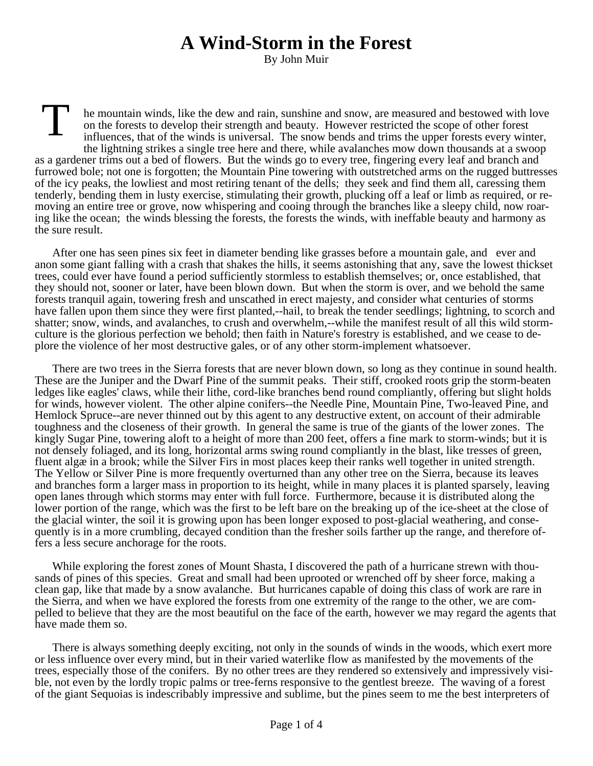## **A Wind-Storm in the Forest**

By John Muir

T he mountain winds, like the dew and rain, sunshine and snow, are measured and bestowed with love on the forests to develop their strength and beauty. However restricted the scope of other forest influences, that of the winds is universal. The snow bends and trims the upper forests every winter, the lightning strikes a single tree here and there, while avalanches mow down thousands at a swoop as a gardener trims out a bed of flowers. But the winds go to every tree, fingering every leaf and branch and furrowed bole; not one is forgotten; the Mountain Pine towering with outstretched arms on the rugged buttresses of the icy peaks, the lowliest and most retiring tenant of the dells; they seek and find them all, caressing them tenderly, bending them in lusty exercise, stimulating their growth, plucking off a leaf or limb as required, or removing an entire tree or grove, now whispering and cooing through the branches like a sleepy child, now roaring like the ocean; the winds blessing the forests, the forests the winds, with ineffable beauty and harmony as the sure result.

After one has seen pines six feet in diameter bending like grasses before a mountain gale, and ever and anon some giant falling with a crash that shakes the hills, it seems astonishing that any, save the lowest thickset trees, could ever have found a period sufficiently stormless to establish themselves; or, once established, that they should not, sooner or later, have been blown down. But when the storm is over, and we behold the same forests tranquil again, towering fresh and unscathed in erect majesty, and consider what centuries of storms have fallen upon them since they were first planted,--hail, to break the tender seedlings; lightning, to scorch and shatter; snow, winds, and avalanches, to crush and overwhelm,--while the manifest result of all this wild stormculture is the glorious perfection we behold; then faith in Nature's forestry is established, and we cease to deplore the violence of her most destructive gales, or of any other storm-implement whatsoever.

There are two trees in the Sierra forests that are never blown down, so long as they continue in sound health. These are the Juniper and the Dwarf Pine of the summit peaks. Their stiff, crooked roots grip the storm-beaten ledges like eagles' claws, while their lithe, cord-like branches bend round compliantly, offering but slight holds for winds, however violent. The other alpine conifers--the Needle Pine, Mountain Pine, Two-leaved Pine, and Hemlock Spruce--are never thinned out by this agent to any destructive extent, on account of their admirable toughness and the closeness of their growth. In general the same is true of the giants of the lower zones. The kingly Sugar Pine, towering aloft to a height of more than 200 feet, offers a fine mark to storm-winds; but it is not densely foliaged, and its long, horizontal arms swing round compliantly in the blast, like tresses of green, fluent algæ in a brook; while the Silver Firs in most places keep their ranks well together in united strength. The Yellow or Silver Pine is more frequently overturned than any other tree on the Sierra, because its leaves and branches form a larger mass in proportion to its height, while in many places it is planted sparsely, leaving open lanes through which storms may enter with full force. Furthermore, because it is distributed along the lower portion of the range, which was the first to be left bare on the breaking up of the ice-sheet at the close of the glacial winter, the soil it is growing upon has been longer exposed to post-glacial weathering, and consequently is in a more crumbling, decayed condition than the fresher soils farther up the range, and therefore offers a less secure anchorage for the roots.

While exploring the forest zones of Mount Shasta, I discovered the path of a hurricane strewn with thousands of pines of this species. Great and small had been uprooted or wrenched off by sheer force, making a clean gap, like that made by a snow avalanche. But hurricanes capable of doing this class of work are rare in the Sierra, and when we have explored the forests from one extremity of the range to the other, we are compelled to believe that they are the most beautiful on the face of the earth, however we may regard the agents that have made them so.

There is always something deeply exciting, not only in the sounds of winds in the woods, which exert more or less influence over every mind, but in their varied waterlike flow as manifested by the movements of the trees, especially those of the conifers. By no other trees are they rendered so extensively and impressively visible, not even by the lordly tropic palms or tree-ferns responsive to the gentlest breeze. The waving of a forest of the giant Sequoias is indescribably impressive and sublime, but the pines seem to me the best interpreters of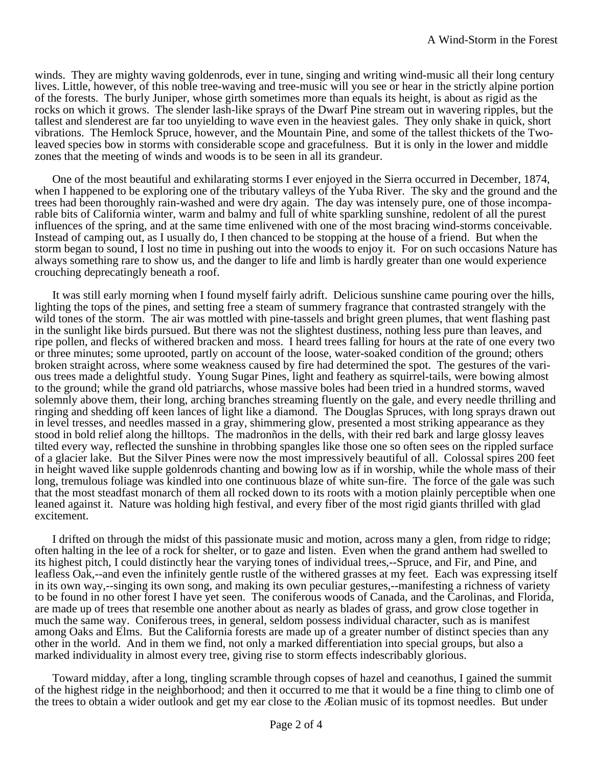winds. They are mighty waving goldenrods, ever in tune, singing and writing wind-music all their long century lives. Little, however, of this noble tree-waving and tree-music will you see or hear in the strictly alpine portion of the forests. The burly Juniper, whose girth sometimes more than equals its height, is about as rigid as the rocks on which it grows. The slender lash-like sprays of the Dwarf Pine stream out in wavering ripples, but the tallest and slenderest are far too unyielding to wave even in the heaviest gales. They only shake in quick, short vibrations. The Hemlock Spruce, however, and the Mountain Pine, and some of the tallest thickets of the Twoleaved species bow in storms with considerable scope and gracefulness. But it is only in the lower and middle zones that the meeting of winds and woods is to be seen in all its grandeur.

One of the most beautiful and exhilarating storms I ever enjoyed in the Sierra occurred in December, 1874, when I happened to be exploring one of the tributary valleys of the Yuba River. The sky and the ground and the trees had been thoroughly rain-washed and were dry again. The day was intensely pure, one of those incomparable bits of California winter, warm and balmy and full of white sparkling sunshine, redolent of all the purest influences of the spring, and at the same time enlivened with one of the most bracing wind-storms conceivable. Instead of camping out, as I usually do, I then chanced to be stopping at the house of a friend. But when the storm began to sound, I lost no time in pushing out into the woods to enjoy it. For on such occasions Nature has always something rare to show us, and the danger to life and limb is hardly greater than one would experience crouching deprecatingly beneath a roof.

It was still early morning when I found myself fairly adrift. Delicious sunshine came pouring over the hills, lighting the tops of the pines, and setting free a steam of summery fragrance that contrasted strangely with the wild tones of the storm. The air was mottled with pine-tassels and bright green plumes, that went flashing past in the sunlight like birds pursued. But there was not the slightest dustiness, nothing less pure than leaves, and ripe pollen, and flecks of withered bracken and moss. I heard trees falling for hours at the rate of one every two or three minutes; some uprooted, partly on account of the loose, water-soaked condition of the ground; others broken straight across, where some weakness caused by fire had determined the spot. The gestures of the various trees made a delightful study. Young Sugar Pines, light and feathery as squirrel-tails, were bowing almost to the ground; while the grand old patriarchs, whose massive boles had been tried in a hundred storms, waved solemnly above them, their long, arching branches streaming fluently on the gale, and every needle thrilling and ringing and shedding off keen lances of light like a diamond. The Douglas Spruces, with long sprays drawn out in level tresses, and needles massed in a gray, shimmering glow, presented a most striking appearance as they stood in bold relief along the hilltops. The madronños in the dells, with their red bark and large glossy leaves tilted every way, reflected the sunshine in throbbing spangles like those one so often sees on the rippled surface of a glacier lake. But the Silver Pines were now the most impressively beautiful of all. Colossal spires 200 feet in height waved like supple goldenrods chanting and bowing low as if in worship, while the whole mass of their long, tremulous foliage was kindled into one continuous blaze of white sun-fire. The force of the gale was such that the most steadfast monarch of them all rocked down to its roots with a motion plainly perceptible when one leaned against it. Nature was holding high festival, and every fiber of the most rigid giants thrilled with glad excitement.

I drifted on through the midst of this passionate music and motion, across many a glen, from ridge to ridge; often halting in the lee of a rock for shelter, or to gaze and listen. Even when the grand anthem had swelled to its highest pitch, I could distinctly hear the varying tones of individual trees,--Spruce, and Fir, and Pine, and leafless Oak,--and even the infinitely gentle rustle of the withered grasses at my feet. Each was expressing itself in its own way,--singing its own song, and making its own peculiar gestures,--manifesting a richness of variety to be found in no other forest I have yet seen. The coniferous woods of Canada, and the Carolinas, and Florida, are made up of trees that resemble one another about as nearly as blades of grass, and grow close together in much the same way. Coniferous trees, in general, seldom possess individual character, such as is manifest among Oaks and Elms. But the California forests are made up of a greater number of distinct species than any other in the world. And in them we find, not only a marked differentiation into special groups, but also a marked individuality in almost every tree, giving rise to storm effects indescribably glorious.

Toward midday, after a long, tingling scramble through copses of hazel and ceanothus, I gained the summit of the highest ridge in the neighborhood; and then it occurred to me that it would be a fine thing to climb one of the trees to obtain a wider outlook and get my ear close to the Æolian music of its topmost needles. But under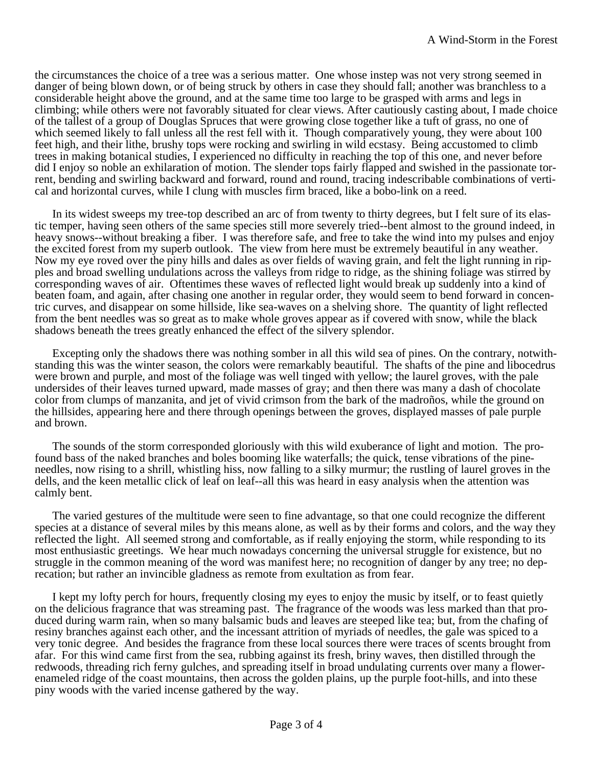the circumstances the choice of a tree was a serious matter. One whose instep was not very strong seemed in danger of being blown down, or of being struck by others in case they should fall; another was branchless to a considerable height above the ground, and at the same time too large to be grasped with arms and legs in climbing; while others were not favorably situated for clear views. After cautiously casting about, I made choice of the tallest of a group of Douglas Spruces that were growing close together like a tuft of grass, no one of which seemed likely to fall unless all the rest fell with it. Though comparatively young, they were about 100 feet high, and their lithe, brushy tops were rocking and swirling in wild ecstasy. Being accustomed to climb trees in making botanical studies, I experienced no difficulty in reaching the top of this one, and never before did I enjoy so noble an exhilaration of motion. The slender tops fairly flapped and swished in the passionate torrent, bending and swirling backward and forward, round and round, tracing indescribable combinations of vertical and horizontal curves, while I clung with muscles firm braced, like a bobo-link on a reed.

In its widest sweeps my tree-top described an arc of from twenty to thirty degrees, but I felt sure of its elastic temper, having seen others of the same species still more severely tried--bent almost to the ground indeed, in heavy snows--without breaking a fiber. I was therefore safe, and free to take the wind into my pulses and enjoy the excited forest from my superb outlook. The view from here must be extremely beautiful in any weather. Now my eye roved over the piny hills and dales as over fields of waving grain, and felt the light running in ripples and broad swelling undulations across the valleys from ridge to ridge, as the shining foliage was stirred by corresponding waves of air. Oftentimes these waves of reflected light would break up suddenly into a kind of beaten foam, and again, after chasing one another in regular order, they would seem to bend forward in concentric curves, and disappear on some hillside, like sea-waves on a shelving shore. The quantity of light reflected from the bent needles was so great as to make whole groves appear as if covered with snow, while the black shadows beneath the trees greatly enhanced the effect of the silvery splendor.

Excepting only the shadows there was nothing somber in all this wild sea of pines. On the contrary, notwithstanding this was the winter season, the colors were remarkably beautiful. The shafts of the pine and libocedrus were brown and purple, and most of the foliage was well tinged with yellow; the laurel groves, with the pale undersides of their leaves turned upward, made masses of gray; and then there was many a dash of chocolate color from clumps of manzanita, and jet of vivid crimson from the bark of the madroños, while the ground on the hillsides, appearing here and there through openings between the groves, displayed masses of pale purple and brown.

The sounds of the storm corresponded gloriously with this wild exuberance of light and motion. The profound bass of the naked branches and boles booming like waterfalls; the quick, tense vibrations of the pineneedles, now rising to a shrill, whistling hiss, now falling to a silky murmur; the rustling of laurel groves in the dells, and the keen metallic click of leaf on leaf--all this was heard in easy analysis when the attention was calmly bent.

The varied gestures of the multitude were seen to fine advantage, so that one could recognize the different species at a distance of several miles by this means alone, as well as by their forms and colors, and the way they reflected the light. All seemed strong and comfortable, as if really enjoying the storm, while responding to its most enthusiastic greetings. We hear much nowadays concerning the universal struggle for existence, but no struggle in the common meaning of the word was manifest here; no recognition of danger by any tree; no deprecation; but rather an invincible gladness as remote from exultation as from fear.

I kept my lofty perch for hours, frequently closing my eyes to enjoy the music by itself, or to feast quietly on the delicious fragrance that was streaming past. The fragrance of the woods was less marked than that produced during warm rain, when so many balsamic buds and leaves are steeped like tea; but, from the chafing of resiny branches against each other, and the incessant attrition of myriads of needles, the gale was spiced to a very tonic degree. And besides the fragrance from these local sources there were traces of scents brought from afar. For this wind came first from the sea, rubbing against its fresh, briny waves, then distilled through the redwoods, threading rich ferny gulches, and spreading itself in broad undulating currents over many a flowerenameled ridge of the coast mountains, then across the golden plains, up the purple foot-hills, and into these piny woods with the varied incense gathered by the way.